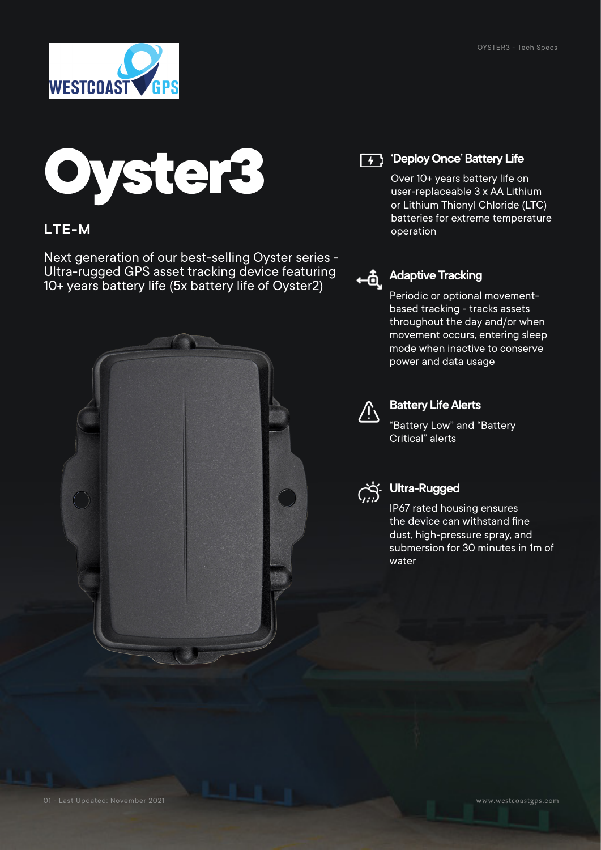



#### **LTE-M**

Next generation of our best-selling Oyster series - Ultra-rugged GPS asset tracking device featuring 10+ years battery life (5x battery life of Oyster2)



#### **T+ > 'Deploy Once' Battery Life**

user-replaceable 3 x AA Lithium or Lithium Thionyl Chloride (LTC) batteries for extreme temperature operation



# **Adaptive Tracking**

Periodic or optional movementbased tracking - tracks assets throughout the day and/or when movement occurs, entering sleep mode when inactive to conserve power and data usage



#### **Battery Life Alerts**

"Battery Low" and "Battery Critical" alerts



#### **Ultra-Rugged**

IP67 rated housing ensures the device can withstand fine dust, high-pressure spray, and submersion for 30 minutes in 1m of water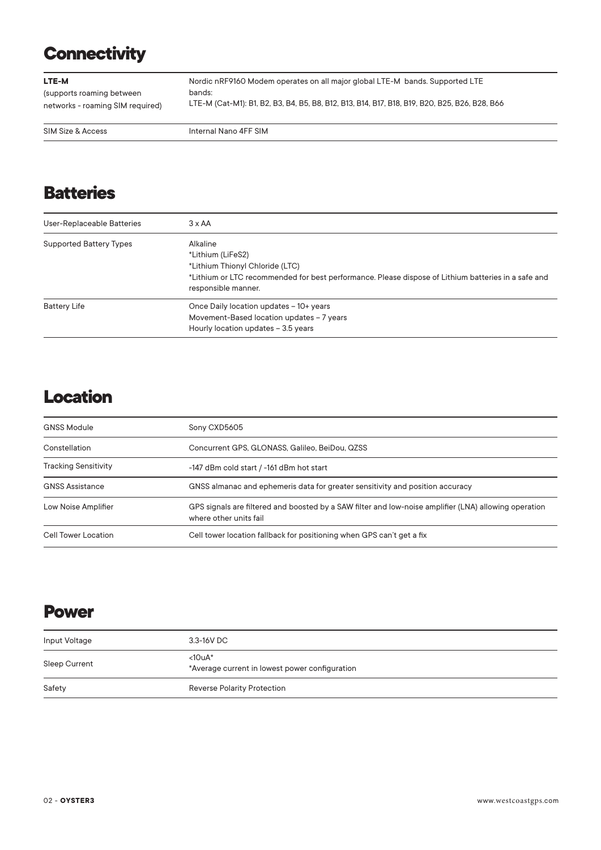## **Connectivity**

| LTE-M                            | Nordic nRF9160 Modem operates on all major global LTE-M bands. Supported LTE                  |
|----------------------------------|-----------------------------------------------------------------------------------------------|
| (supports roaming between        | bands:                                                                                        |
| networks - roaming SIM required) | LTE-M (Cat-M1): B1, B2, B3, B4, B5, B8, B12, B13, B14, B17, B18, B19, B20, B25, B26, B28, B66 |

SIM Size & Access Internal Nano 4FF SIM

## **Batteries**

| User-Replaceable Batteries     | $3 \times AA$                                                                                                                                                                                  |
|--------------------------------|------------------------------------------------------------------------------------------------------------------------------------------------------------------------------------------------|
| <b>Supported Battery Types</b> | Alkaline<br>*Lithium (LiFeS2)<br>*Lithium Thionyl Chloride (LTC)<br>*Lithium or LTC recommended for best performance. Please dispose of Lithium batteries in a safe and<br>responsible manner. |
| <b>Battery Life</b>            | Once Daily location updates - 10+ years<br>Movement-Based location updates - 7 years<br>Hourly location updates - 3.5 years                                                                    |

## **Location**

| <b>GNSS Module</b>          | Sony CXD5605                                                                                                                    |
|-----------------------------|---------------------------------------------------------------------------------------------------------------------------------|
| Constellation               | Concurrent GPS, GLONASS, Galileo, BeiDou, QZSS                                                                                  |
| <b>Tracking Sensitivity</b> | -147 dBm cold start / -161 dBm hot start                                                                                        |
| <b>GNSS Assistance</b>      | GNSS almanac and ephemeris data for greater sensitivity and position accuracy                                                   |
| Low Noise Amplifier         | GPS signals are filtered and boosted by a SAW filter and low-noise amplifier (LNA) allowing operation<br>where other units fail |
| Cell Tower Location         | Cell tower location fallback for positioning when GPS can't get a fix                                                           |

### **Power**

| Input Voltage | 3.3-16V DC                                                      |
|---------------|-----------------------------------------------------------------|
| Sleep Current | $<$ 10u $A^*$<br>*Average current in lowest power configuration |
| Safety        | <b>Reverse Polarity Protection</b>                              |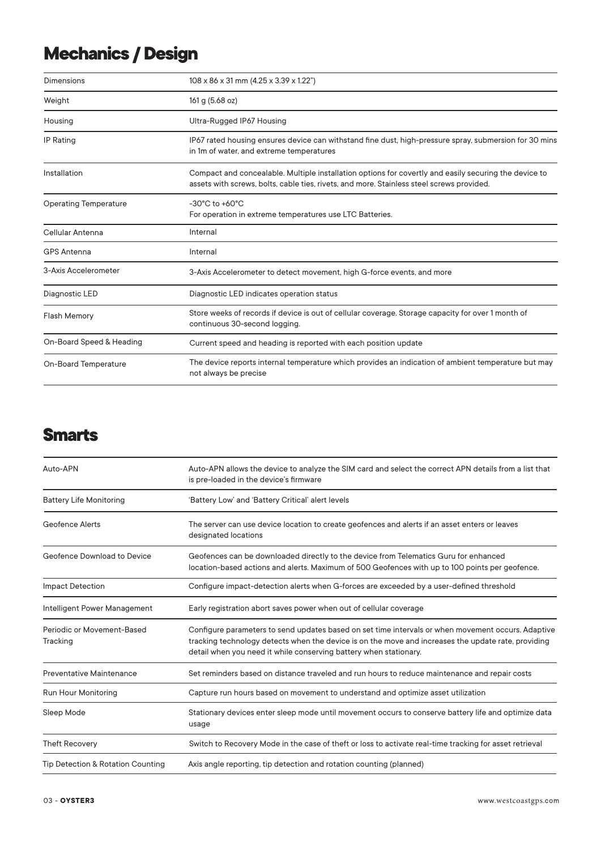# **Mechanics / Design**

| Dimensions                   | 108 x 86 x 31 mm (4.25 x 3.39 x 1.22")                                                                                                                                                             |
|------------------------------|----------------------------------------------------------------------------------------------------------------------------------------------------------------------------------------------------|
| Weight                       | 161 g (5.68 oz)                                                                                                                                                                                    |
| Housing                      | Ultra-Rugged IP67 Housing                                                                                                                                                                          |
| <b>IP Rating</b>             | IP67 rated housing ensures device can withstand fine dust, high-pressure spray, submersion for 30 mins<br>in 1m of water, and extreme temperatures                                                 |
| Installation                 | Compact and concealable. Multiple installation options for covertly and easily securing the device to<br>assets with screws, bolts, cable ties, rivets, and more. Stainless steel screws provided. |
| <b>Operating Temperature</b> | $-30^{\circ}$ C to $+60^{\circ}$ C<br>For operation in extreme temperatures use LTC Batteries.                                                                                                     |
| Cellular Antenna             | Internal                                                                                                                                                                                           |
| <b>GPS Antenna</b>           | Internal                                                                                                                                                                                           |
| 3-Axis Accelerometer         | 3-Axis Accelerometer to detect movement, high G-force events, and more                                                                                                                             |
| Diagnostic LED               | Diagnostic LED indicates operation status                                                                                                                                                          |
| <b>Flash Memory</b>          | Store weeks of records if device is out of cellular coverage. Storage capacity for over 1 month of<br>continuous 30-second logging.                                                                |
| On-Board Speed & Heading     | Current speed and heading is reported with each position update                                                                                                                                    |
| On-Board Temperature         | The device reports internal temperature which provides an indication of ambient temperature but may<br>not always be precise                                                                       |

### **Smarts**

| Auto-APN                               | Auto-APN allows the device to analyze the SIM card and select the correct APN details from a list that<br>is pre-loaded in the device's firmware                                                                                                                               |
|----------------------------------------|--------------------------------------------------------------------------------------------------------------------------------------------------------------------------------------------------------------------------------------------------------------------------------|
| <b>Battery Life Monitoring</b>         | 'Battery Low' and 'Battery Critical' alert levels                                                                                                                                                                                                                              |
| <b>Geofence Alerts</b>                 | The server can use device location to create geofences and alerts if an asset enters or leaves<br>designated locations                                                                                                                                                         |
| Geofence Download to Device            | Geofences can be downloaded directly to the device from Telematics Guru for enhanced<br>location-based actions and alerts. Maximum of 500 Geofences with up to 100 points per geofence.                                                                                        |
| <b>Impact Detection</b>                | Configure impact-detection alerts when G-forces are exceeded by a user-defined threshold                                                                                                                                                                                       |
| Intelligent Power Management           | Early registration abort saves power when out of cellular coverage                                                                                                                                                                                                             |
| Periodic or Movement-Based<br>Tracking | Configure parameters to send updates based on set time intervals or when movement occurs. Adaptive<br>tracking technology detects when the device is on the move and increases the update rate, providing<br>detail when you need it while conserving battery when stationary. |
| <b>Preventative Maintenance</b>        | Set reminders based on distance traveled and run hours to reduce maintenance and repair costs                                                                                                                                                                                  |
| <b>Run Hour Monitoring</b>             | Capture run hours based on movement to understand and optimize asset utilization                                                                                                                                                                                               |
| Sleep Mode                             | Stationary devices enter sleep mode until movement occurs to conserve battery life and optimize data<br>usage                                                                                                                                                                  |
| <b>Theft Recovery</b>                  | Switch to Recovery Mode in the case of theft or loss to activate real-time tracking for asset retrieval                                                                                                                                                                        |
| Tip Detection & Rotation Counting      | Axis angle reporting, tip detection and rotation counting (planned)                                                                                                                                                                                                            |